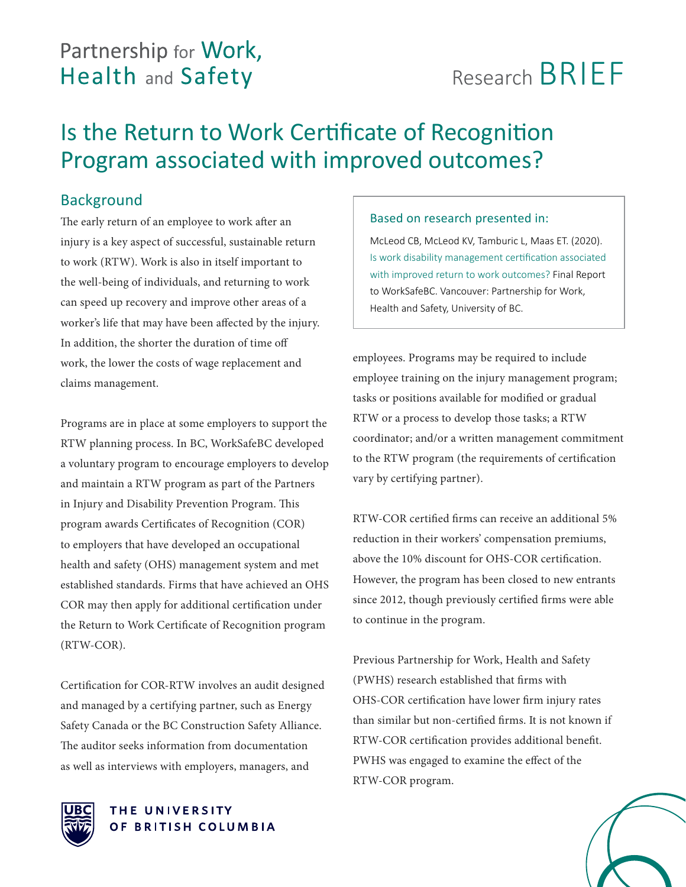# Partnership for Work, **Health and Safety**

# Research BRIEF

# Is the Return to Work Certificate of Recognition Program associated with improved outcomes?

# Background

The early return of an employee to work after an injury is a key aspect of successful, sustainable return to work (RTW). Work is also in itself important to the well-being of individuals, and returning to work can speed up recovery and improve other areas of a worker's life that may have been affected by the injury. In addition, the shorter the duration of time off work, the lower the costs of wage replacement and claims management.

Programs are in place at some employers to support the RTW planning process. In BC, WorkSafeBC developed a voluntary program to encourage employers to develop and maintain a RTW program as part of the Partners in Injury and Disability Prevention Program. This program awards Certificates of Recognition (COR) to employers that have developed an occupational health and safety (OHS) management system and met established standards. Firms that have achieved an OHS COR may then apply for additional certification under the Return to Work Certificate of Recognition program (RTW-COR).

Certification for COR-RTW involves an audit designed and managed by a certifying partner, such as Energy Safety Canada or the BC Construction Safety Alliance. The auditor seeks information from documentation as well as interviews with employers, managers, and

## Based on research presented in:

McLeod CB, McLeod KV, Tamburic L, Maas ET. (2020). Is work disability management certification associated with improved return to work outcomes? Final Report to WorkSafeBC. Vancouver: Partnership for Work, Health and Safety, University of BC.

employees. Programs may be required to include employee training on the injury management program; tasks or positions available for modified or gradual RTW or a process to develop those tasks; a RTW coordinator; and/or a written management commitment to the RTW program (the requirements of certification vary by certifying partner).

RTW-COR certified firms can receive an additional 5% reduction in their workers' compensation premiums, above the 10% discount for OHS-COR certification. However, the program has been closed to new entrants since 2012, though previously certified firms were able to continue in the program.

Previous Partnership for Work, Health and Safety (PWHS) research established that firms with OHS-COR certification have lower firm injury rates than similar but non-certified firms. It is not known if RTW-COR certification provides additional benefit. PWHS was engaged to examine the effect of the RTW-COR program.



#### THE UNIVERSITY OF BRITISH COLUMBIA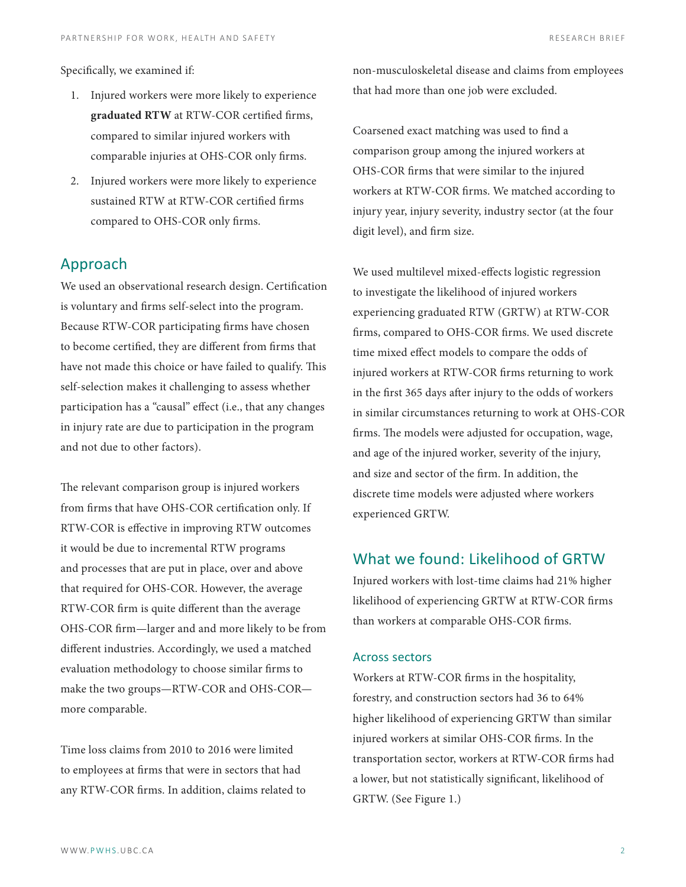Specifically, we examined if:

- 1. Injured workers were more likely to experience **graduated RTW** at RTW-COR certified firms, compared to similar injured workers with comparable injuries at OHS-COR only firms.
- 2. Injured workers were more likely to experience sustained RTW at RTW-COR certified firms compared to OHS-COR only firms.

### Approach

We used an observational research design. Certification is voluntary and firms self-select into the program. Because RTW-COR participating firms have chosen to become certified, they are different from firms that have not made this choice or have failed to qualify. This self-selection makes it challenging to assess whether participation has a "causal" effect (i.e., that any changes in injury rate are due to participation in the program and not due to other factors).

The relevant comparison group is injured workers from firms that have OHS-COR certification only. If RTW-COR is effective in improving RTW outcomes it would be due to incremental RTW programs and processes that are put in place, over and above that required for OHS-COR. However, the average RTW-COR firm is quite different than the average OHS-COR firm—larger and and more likely to be from different industries. Accordingly, we used a matched evaluation methodology to choose similar firms to make the two groups—RTW-COR and OHS-COR more comparable.

Time loss claims from 2010 to 2016 were limited to employees at firms that were in sectors that had any RTW-COR firms. In addition, claims related to non-musculoskeletal disease and claims from employees that had more than one job were excluded.

Coarsened exact matching was used to find a comparison group among the injured workers at OHS-COR firms that were similar to the injured workers at RTW-COR firms. We matched according to injury year, injury severity, industry sector (at the four digit level), and firm size.

We used multilevel mixed-effects logistic regression to investigate the likelihood of injured workers experiencing graduated RTW (GRTW) at RTW-COR firms, compared to OHS-COR firms. We used discrete time mixed effect models to compare the odds of injured workers at RTW-COR firms returning to work in the first 365 days after injury to the odds of workers in similar circumstances returning to work at OHS-COR firms. The models were adjusted for occupation, wage, and age of the injured worker, severity of the injury, and size and sector of the firm. In addition, the discrete time models were adjusted where workers experienced GRTW.

### What we found: Likelihood of GRTW

Injured workers with lost-time claims had 21% higher likelihood of experiencing GRTW at RTW-COR firms than workers at comparable OHS-COR firms.

#### Across sectors

Workers at RTW-COR firms in the hospitality, forestry, and construction sectors had 36 to 64% higher likelihood of experiencing GRTW than similar injured workers at similar OHS-COR firms. In the transportation sector, workers at RTW-COR firms had a lower, but not statistically significant, likelihood of GRTW. (See Figure 1.)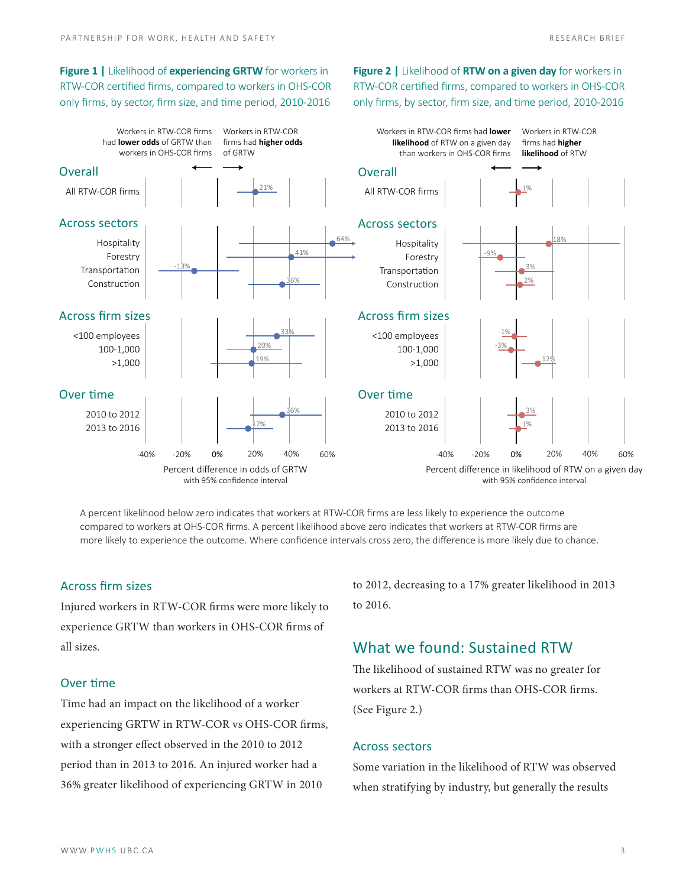**Figure 1 |** Likelihood of **experiencing GRTW** for workers in RTW-COR certified firms, compared to workers in OHS-COR only firms, by sector, firm size, and time period, 2010-2016

**Figure 2** | Likelihood of **RTW on a given day** for workers in RTW-COR certified firms, compared to workers in OHS-COR only firms, by sector, firm size, and time period, 2010-2016



A percent likelihood below zero indicates that workers at RTW-COR firms are less likely to experience the outcome compared to workers at OHS-COR firms. A percent likelihood above zero indicates that workers at RTW-COR firms are more likely to experience the outcome. Where confidence intervals cross zero, the difference is more likely due to chance. than workers in OHS-COR firms

#### Across firm sizes

Injured workers in RTW-COR firms were more likely to experience GRTW than workers in OHS-COR firms of all sizes.

# Over time

Time had an impact on the likelihood of a worker experiencing GRTW in RTW-COR vs OHS-COR firms, with a stronger effect observed in the 2010 to 2012 period than in 2013 to 2016. An injured worker had a  $36\%$  greater likelihood of experiencing GRTW in  $2010$ 

to 2012, decreasing to a 17% greater likelihood in 2013 to 2016.

# What we found: Sustained RTW

The likelihood of sustained RTW was no greater for workers at RTW-COR firms than OHS-COR firms. (See Figure 2.)

#### Across sectors

Some variation in the likelihood of RTW was observed when stratifying by industry, but generally the results